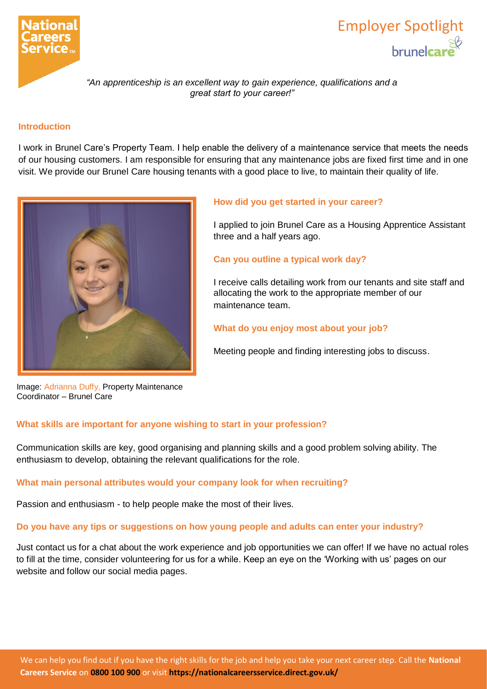

# Employer Spotlight **brunelcare**

*"An apprenticeship is an excellent way to gain experience, qualifications and a great start to your career!"*

# **Introduction**

I work in Brunel Care's Property Team. I help enable the delivery of a maintenance service that meets the needs of our housing customers. I am responsible for ensuring that any maintenance jobs are fixed first time and in one visit. We provide our Brunel Care housing tenants with a good place to live, to maintain their quality of life.



## **How did you get started in your career?**

I applied to join Brunel Care as a Housing Apprentice Assistant three and a half years ago.

## **Can you outline a typical work day?**

I receive calls detailing work from our tenants and site staff and allocating the work to the appropriate member of our maintenance team.

# **What do you enjoy most about your job?**

Meeting people and finding interesting jobs to discuss.

Image: Adrianna Duffy, Property Maintenance Coordinator – Brunel Care

# **What skills are important for anyone wishing to start in your profession?**

Communication skills are key, good organising and planning skills and a good problem solving ability. The enthusiasm to develop, obtaining the relevant qualifications for the role.

## **What main personal attributes would your company look for when recruiting?**

Passion and enthusiasm - to help people make the most of their lives.

## **Do you have any tips or suggestions on how young people and adults can enter your industry?**

Just contact us for a chat about the work experience and job opportunities we can offer! If we have no actual roles to fill at the time, consider volunteering for us for a while. Keep an eye on the 'Working with us' pages on our website and follow our social media pages.